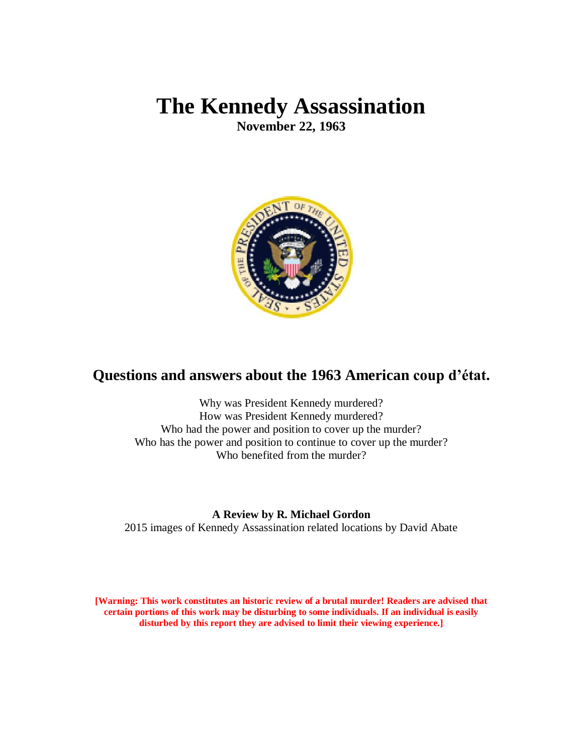# **The Kennedy Assassination**

**November 22, 1963**



## **Questions and answers about the 1963 American coup d'état.**

Why was President Kennedy murdered? How was President Kennedy murdered? Who had the power and position to cover up the murder? Who has the power and position to continue to cover up the murder? Who benefited from the murder?

## **A Review by R. Michael Gordon**

2015 images of Kennedy Assassination related locations by David Abate

**[Warning: This work constitutes an historic review of a brutal murder! Readers are advised that certain portions of this work may be disturbing to some individuals. If an individual is easily disturbed by this report they are advised to limit their viewing experience.]**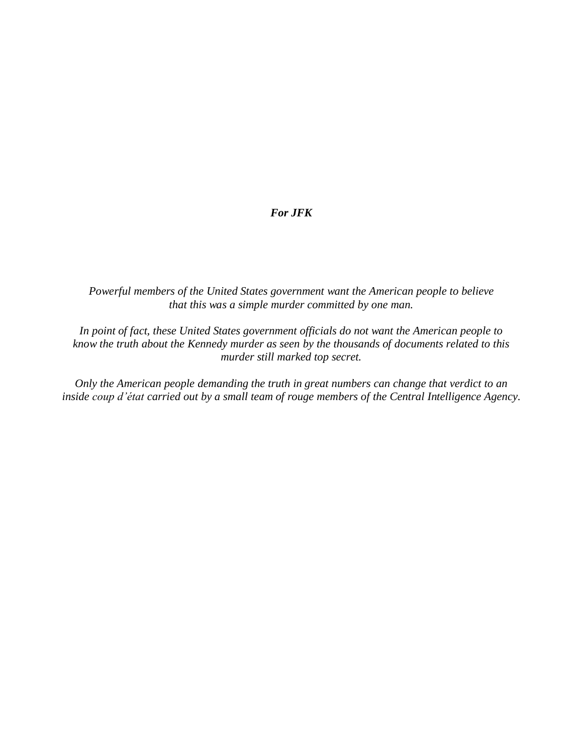#### *For JFK*

*Powerful members of the United States government want the American people to believe that this was a simple murder committed by one man.* 

*In point of fact, these United States government officials do not want the American people to know the truth about the Kennedy murder as seen by the thousands of documents related to this murder still marked top secret.* 

*Only the American people demanding the truth in great numbers can change that verdict to an inside coup d'état carried out by a small team of rouge members of the Central Intelligence Agency.*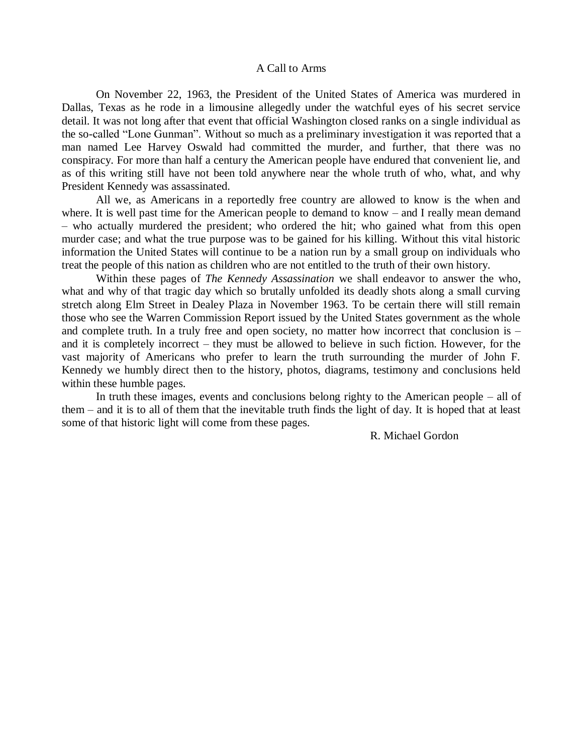#### A Call to Arms

On November 22, 1963, the President of the United States of America was murdered in Dallas, Texas as he rode in a limousine allegedly under the watchful eyes of his secret service detail. It was not long after that event that official Washington closed ranks on a single individual as the so-called "Lone Gunman". Without so much as a preliminary investigation it was reported that a man named Lee Harvey Oswald had committed the murder, and further, that there was no conspiracy. For more than half a century the American people have endured that convenient lie, and as of this writing still have not been told anywhere near the whole truth of who, what, and why President Kennedy was assassinated.

All we, as Americans in a reportedly free country are allowed to know is the when and where. It is well past time for the American people to demand to know – and I really mean demand – who actually murdered the president; who ordered the hit; who gained what from this open murder case; and what the true purpose was to be gained for his killing. Without this vital historic information the United States will continue to be a nation run by a small group on individuals who treat the people of this nation as children who are not entitled to the truth of their own history.

Within these pages of *The Kennedy Assassination* we shall endeavor to answer the who, what and why of that tragic day which so brutally unfolded its deadly shots along a small curving stretch along Elm Street in Dealey Plaza in November 1963. To be certain there will still remain those who see the Warren Commission Report issued by the United States government as the whole and complete truth. In a truly free and open society, no matter how incorrect that conclusion is – and it is completely incorrect – they must be allowed to believe in such fiction. However, for the vast majority of Americans who prefer to learn the truth surrounding the murder of John F. Kennedy we humbly direct then to the history, photos, diagrams, testimony and conclusions held within these humble pages.

In truth these images, events and conclusions belong righty to the American people – all of them – and it is to all of them that the inevitable truth finds the light of day. It is hoped that at least some of that historic light will come from these pages.

R. Michael Gordon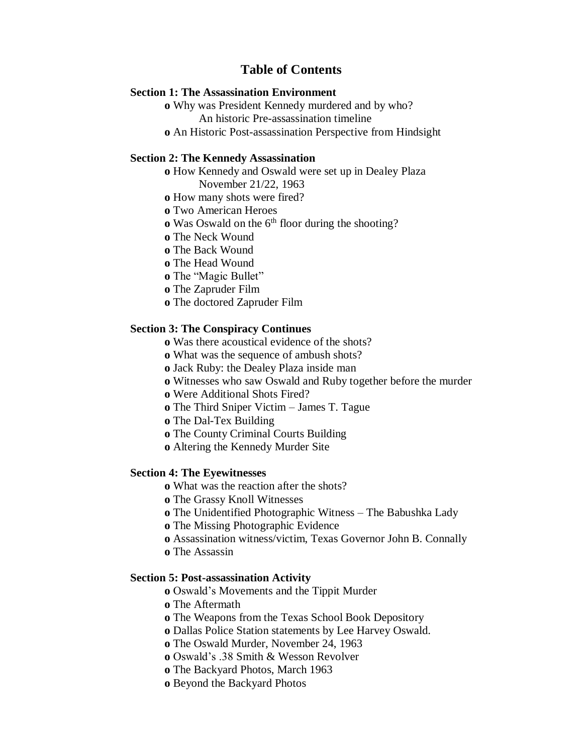## **Table of Contents**

#### **Section 1: The Assassination Environment**

**o** Why was President Kennedy murdered and by who?

An historic Pre-assassination timeline

**o** An Historic Post-assassination Perspective from Hindsight

#### **Section 2: The Kennedy Assassination**

**o** How Kennedy and Oswald were set up in Dealey Plaza November 21/22, 1963

**o** How many shots were fired?

**o** Two American Heroes

**o** Was Oswald on the 6<sup>th</sup> floor during the shooting?

**o** The Neck Wound

**o** The Back Wound

**o** The Head Wound

**o** The "Magic Bullet"

**o** The Zapruder Film

**o** The doctored Zapruder Film

#### **Section 3: The Conspiracy Continues**

**o** Was there acoustical evidence of the shots?

**o** What was the sequence of ambush shots?

**o** Jack Ruby: the Dealey Plaza inside man

**o** Witnesses who saw Oswald and Ruby together before the murder

**o** Were Additional Shots Fired?

**o** The Third Sniper Victim – James T. Tague

**o** The Dal-Tex Building

**o** The County Criminal Courts Building

**o** Altering the Kennedy Murder Site

#### **Section 4: The Eyewitnesses**

**o** What was the reaction after the shots?

**o** The Grassy Knoll Witnesses

**o** The Unidentified Photographic Witness – The Babushka Lady

**o** The Missing Photographic Evidence

**o** Assassination witness/victim, Texas Governor John B. Connally

**o** The Assassin

#### **Section 5: Post-assassination Activity**

**o** Oswald's Movements and the Tippit Murder

**o** The Aftermath

**o** The Weapons from the Texas School Book Depository

**o** Dallas Police Station statements by Lee Harvey Oswald.

**o** The Oswald Murder, November 24, 1963

**o** Oswald's .38 Smith & Wesson Revolver

**o** The Backyard Photos, March 1963

**o** Beyond the Backyard Photos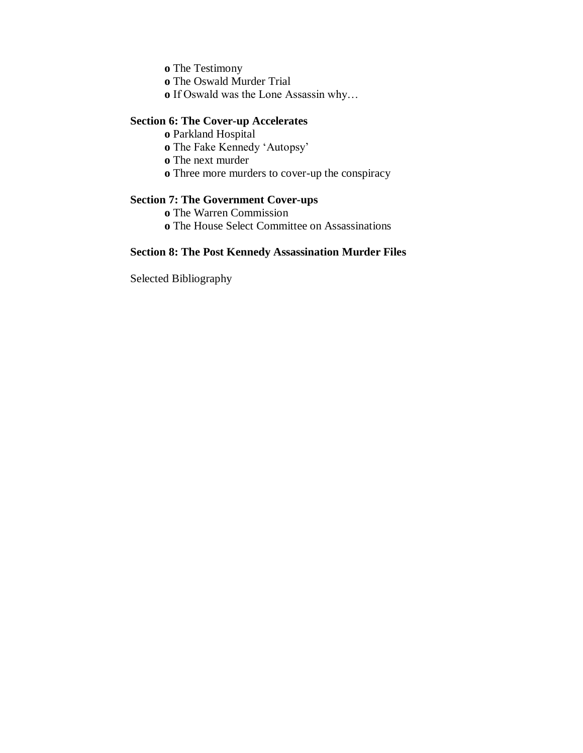**o** The Testimony

**o** The Oswald Murder Trial

**o** If Oswald was the Lone Assassin why…

#### **Section 6: The Cover-up Accelerates**

- **o** Parkland Hospital
- **o** The Fake Kennedy 'Autopsy'
- **o** The next murder
- **o** Three more murders to cover-up the conspiracy

## **Section 7: The Government Cover-ups**

**o** The Warren Commission

**o** The House Select Committee on Assassinations

### **Section 8: The Post Kennedy Assassination Murder Files**

Selected Bibliography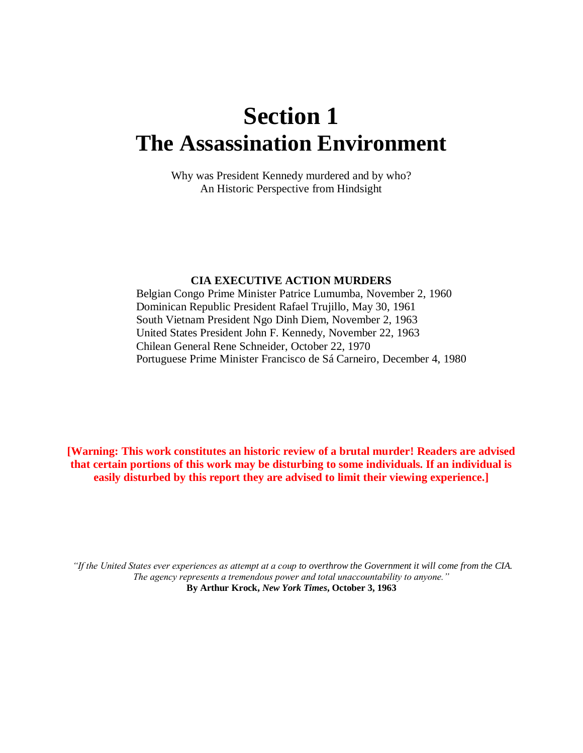# **Section 1 The Assassination Environment**

Why was President Kennedy murdered and by who? An Historic Perspective from Hindsight

#### **CIA EXECUTIVE ACTION MURDERS**

 Belgian Congo Prime Minister Patrice Lumumba, November 2, 1960 Dominican Republic President Rafael Trujillo, May 30, 1961 South Vietnam President Ngo Dinh Diem, November 2, 1963 United States President John F. Kennedy, November 22, 1963 Chilean General Rene Schneider, October 22, 1970 Portuguese Prime Minister Francisco de Sá Carneiro, December 4, 1980

**[Warning: This work constitutes an historic review of a brutal murder! Readers are advised that certain portions of this work may be disturbing to some individuals. If an individual is easily disturbed by this report they are advised to limit their viewing experience.]**

*"If the United States ever experiences as attempt at a coup to overthrow the Government it will come from the CIA. The agency represents a tremendous power and total unaccountability to anyone."* **By Arthur Krock,** *New York Times***, October 3, 1963**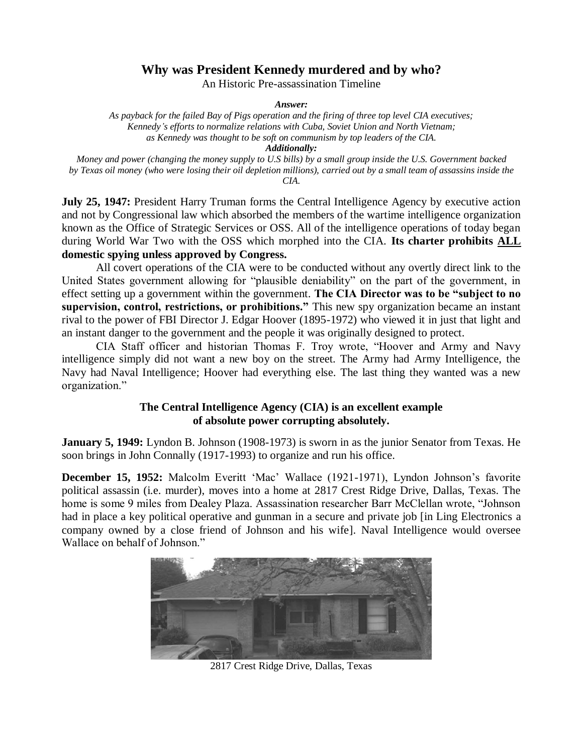## **Why was President Kennedy murdered and by who?**

An Historic Pre-assassination Timeline

*Answer:*

*As payback for the failed Bay of Pigs operation and the firing of three top level CIA executives; Kennedy's efforts to normalize relations with Cuba, Soviet Union and North Vietnam; as Kennedy was thought to be soft on communism by top leaders of the CIA. Additionally:*

*Money and power (changing the money supply to U.S bills) by a small group inside the U.S. Government backed by Texas oil money (who were losing their oil depletion millions), carried out by a small team of assassins inside the CIA.*

**July 25, 1947:** President Harry Truman forms the Central Intelligence Agency by executive action and not by Congressional law which absorbed the members of the wartime intelligence organization known as the Office of Strategic Services or OSS. All of the intelligence operations of today began during World War Two with the OSS which morphed into the CIA. **Its charter prohibits ALL domestic spying unless approved by Congress.**

All covert operations of the CIA were to be conducted without any overtly direct link to the United States government allowing for "plausible deniability" on the part of the government, in effect setting up a government within the government. **The CIA Director was to be "subject to no supervision, control, restrictions, or prohibitions."** This new spy organization became an instant rival to the power of FBI Director J. Edgar Hoover (1895-1972) who viewed it in just that light and an instant danger to the government and the people it was originally designed to protect.

CIA Staff officer and historian Thomas F. Troy wrote, "Hoover and Army and Navy intelligence simply did not want a new boy on the street. The Army had Army Intelligence, the Navy had Naval Intelligence; Hoover had everything else. The last thing they wanted was a new organization."

### **The Central Intelligence Agency (CIA) is an excellent example of absolute power corrupting absolutely.**

**January 5, 1949:** Lyndon B. Johnson (1908-1973) is sworn in as the junior Senator from Texas. He soon brings in John Connally (1917-1993) to organize and run his office.

**December 15, 1952:** Malcolm Everitt 'Mac' Wallace (1921-1971), Lyndon Johnson's favorite political assassin (i.e. murder), moves into a home at 2817 Crest Ridge Drive, Dallas, Texas. The home is some 9 miles from Dealey Plaza. Assassination researcher Barr McClellan wrote, "Johnson had in place a key political operative and gunman in a secure and private job [in Ling Electronics a company owned by a close friend of Johnson and his wife]. Naval Intelligence would oversee Wallace on behalf of Johnson."



2817 Crest Ridge Drive, Dallas, Texas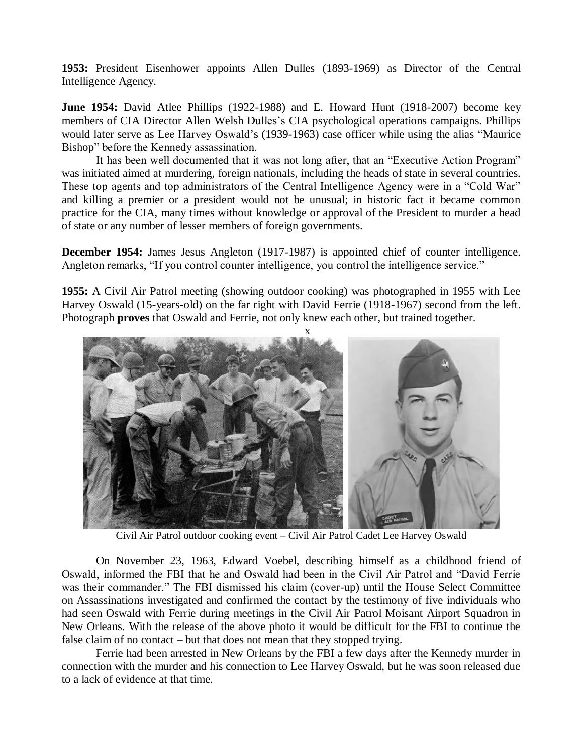**1953:** President Eisenhower appoints Allen Dulles (1893-1969) as Director of the Central Intelligence Agency.

**June 1954:** David Atlee Phillips (1922-1988) and E. Howard Hunt (1918-2007) become key members of CIA Director Allen Welsh Dulles's CIA psychological operations campaigns. Phillips would later serve as Lee Harvey Oswald's (1939-1963) case officer while using the alias "Maurice Bishop" before the Kennedy assassination.

It has been well documented that it was not long after, that an "Executive Action Program" was initiated aimed at murdering, foreign nationals, including the heads of state in several countries. These top agents and top administrators of the Central Intelligence Agency were in a "Cold War" and killing a premier or a president would not be unusual; in historic fact it became common practice for the CIA, many times without knowledge or approval of the President to murder a head of state or any number of lesser members of foreign governments.

**December 1954:** James Jesus Angleton (1917-1987) is appointed chief of counter intelligence. Angleton remarks, "If you control counter intelligence, you control the intelligence service."

**1955:** A Civil Air Patrol meeting (showing outdoor cooking) was photographed in 1955 with Lee Harvey Oswald (15-years-old) on the far right with David Ferrie (1918-1967) second from the left. Photograph **proves** that Oswald and Ferrie, not only knew each other, but trained together.



Civil Air Patrol outdoor cooking event – Civil Air Patrol Cadet Lee Harvey Oswald

On November 23, 1963, Edward Voebel, describing himself as a childhood friend of Oswald, informed the FBI that he and Oswald had been in the Civil Air Patrol and "David Ferrie was their commander." The FBI dismissed his claim (cover-up) until the House Select Committee on Assassinations investigated and confirmed the contact by the testimony of five individuals who had seen Oswald with Ferrie during meetings in the Civil Air Patrol Moisant Airport Squadron in New Orleans. With the release of the above photo it would be difficult for the FBI to continue the false claim of no contact – but that does not mean that they stopped trying.

Ferrie had been arrested in New Orleans by the FBI a few days after the Kennedy murder in connection with the murder and his connection to Lee Harvey Oswald, but he was soon released due to a lack of evidence at that time.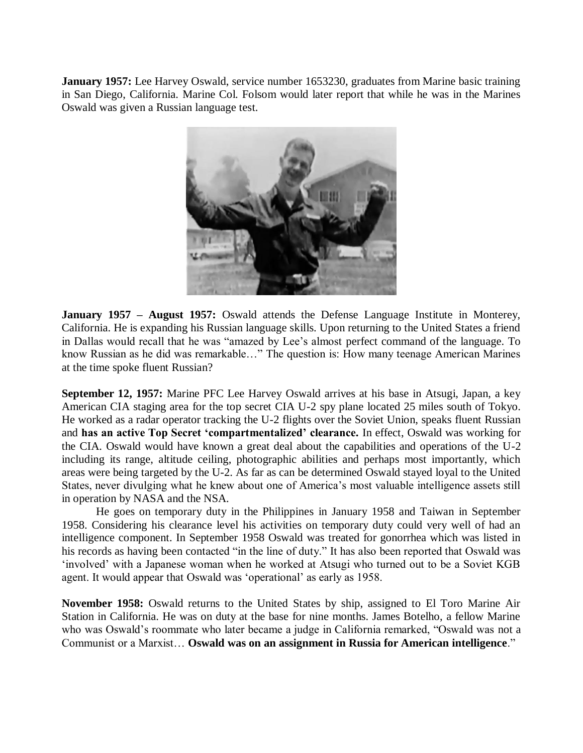**January 1957:** Lee Harvey Oswald, service number 1653230, graduates from Marine basic training in San Diego, California. Marine Col. Folsom would later report that while he was in the Marines Oswald was given a Russian language test.



**January 1957 – August 1957:** Oswald attends the Defense Language Institute in Monterey, California. He is expanding his Russian language skills. Upon returning to the United States a friend in Dallas would recall that he was "amazed by Lee's almost perfect command of the language. To know Russian as he did was remarkable…" The question is: How many teenage American Marines at the time spoke fluent Russian?

**September 12, 1957:** Marine PFC Lee Harvey Oswald arrives at his base in Atsugi, Japan, a key American CIA staging area for the top secret CIA U-2 spy plane located 25 miles south of Tokyo. He worked as a radar operator tracking the U-2 flights over the Soviet Union, speaks fluent Russian and **has an active Top Secret 'compartmentalized' clearance.** In effect, Oswald was working for the CIA. Oswald would have known a great deal about the capabilities and operations of the U-2 including its range, altitude ceiling, photographic abilities and perhaps most importantly, which areas were being targeted by the U-2. As far as can be determined Oswald stayed loyal to the United States, never divulging what he knew about one of America's most valuable intelligence assets still in operation by NASA and the NSA.

He goes on temporary duty in the Philippines in January 1958 and Taiwan in September 1958. Considering his clearance level his activities on temporary duty could very well of had an intelligence component. In September 1958 Oswald was treated for gonorrhea which was listed in his records as having been contacted "in the line of duty." It has also been reported that Oswald was 'involved' with a Japanese woman when he worked at Atsugi who turned out to be a Soviet KGB agent. It would appear that Oswald was 'operational' as early as 1958.

**November 1958:** Oswald returns to the United States by ship, assigned to El Toro Marine Air Station in California. He was on duty at the base for nine months. James Botelho, a fellow Marine who was Oswald's roommate who later became a judge in California remarked, "Oswald was not a Communist or a Marxist… **Oswald was on an assignment in Russia for American intelligence**."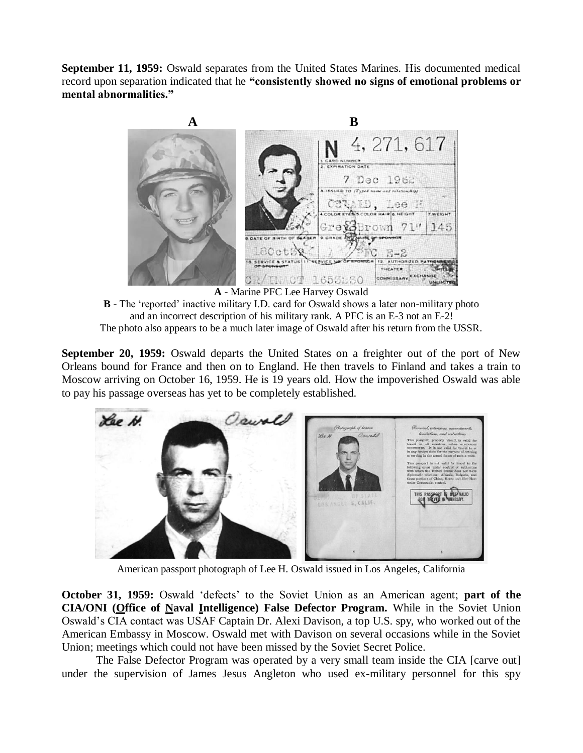**September 11, 1959:** Oswald separates from the United States Marines. His documented medical record upon separation indicated that he **"consistently showed no signs of emotional problems or mental abnormalities."**



**A** - Marine PFC Lee Harvey Oswald

**B** - The 'reported' inactive military I.D. card for Oswald shows a later non-military photo and an incorrect description of his military rank. A PFC is an E-3 not an E-2! The photo also appears to be a much later image of Oswald after his return from the USSR.

**September 20, 1959:** Oswald departs the United States on a freighter out of the port of New Orleans bound for France and then on to England. He then travels to Finland and takes a train to Moscow arriving on October 16, 1959. He is 19 years old. How the impoverished Oswald was able to pay his passage overseas has yet to be completely established.



American passport photograph of Lee H. Oswald issued in Los Angeles, California

**October 31, 1959:** Oswald 'defects' to the Soviet Union as an American agent; **part of the CIA/ONI (Office of Naval Intelligence) False Defector Program.** While in the Soviet Union Oswald's CIA contact was USAF Captain Dr. Alexi Davison, a top U.S. spy, who worked out of the American Embassy in Moscow. Oswald met with Davison on several occasions while in the Soviet Union; meetings which could not have been missed by the Soviet Secret Police.

The False Defector Program was operated by a very small team inside the CIA [carve out] under the supervision of James Jesus Angleton who used ex-military personnel for this spy